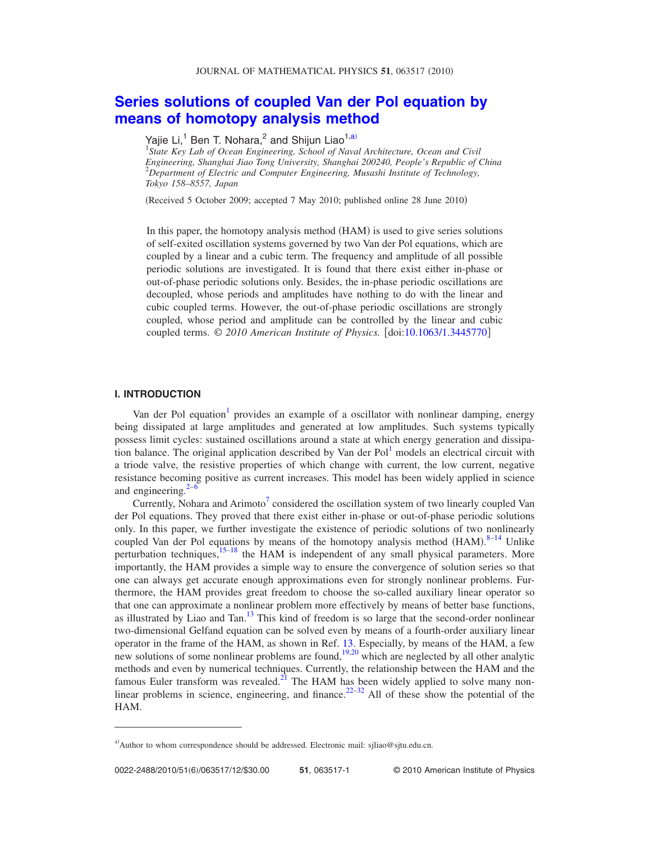# **[Series solutions of coupled Van der Pol equation by](http://dx.doi.org/10.1063/1.3445770) [means of homotopy analysis method](http://dx.doi.org/10.1063/1.3445770)**

Yajie Li,<sup>1</sup> Ben T. Nohara,<sup>2</sup> and Shijun Liao<sup>1[,a](#page-0-0))</sup><br><sup>1</sup>State Key Lab of Ocean Engineering, School of Naval Architecture, Ocean and Civil *Engineering, Shanghai Jiao Tong University, Shanghai 200240, People's Republic of China* 2 *Department of Electric and Computer Engineering, Musashi Institute of Technology, Tokyo 158–8557, Japan*

(Received 5 October 2009; accepted 7 May 2010; published online 28 June 2010)

In this paper, the homotopy analysis method (HAM) is used to give series solutions of self-exited oscillation systems governed by two Van der Pol equations, which are coupled by a linear and a cubic term. The frequency and amplitude of all possible periodic solutions are investigated. It is found that there exist either in-phase or out-of-phase periodic solutions only. Besides, the in-phase periodic oscillations are decoupled, whose periods and amplitudes have nothing to do with the linear and cubic coupled terms. However, the out-of-phase periodic oscillations are strongly coupled, whose period and amplitude can be controlled by the linear and cubic coupled terms.  $\odot$  2010 American Institute of Physics. [doi[:10.1063/1.3445770](http://dx.doi.org/10.1063/1.3445770)]

#### **I. INTRODUCTION**

Van der Pol equation $\frac{1}{1}$  provides an example of a oscillator with nonlinear damping, energy being dissipated at large amplitudes and generated at low amplitudes. Such systems typically possess limit cycles: sustained oscillations around a state at which energy generation and dissipation balance. The original application described by Van der Pol<sup>1</sup> models an electrical circuit with a triode valve, the resistive properties of which change with current, the low current, negative resistance becoming positive as current increases. This model has been widely applied in science and engineering. $\frac{2}{3}$ 

Currently, Nohara and Arimoto<sup>7</sup> considered the oscillation system of two linearly coupled Van der Pol equations. They proved that there exist either in-phase or out-of-phase periodic solutions only. In this paper, we further investigate the existence of periodic solutions of two nonlinearly coupled Van der Pol equations by means of the homotopy analysis method  $(HAM)^{8-14}$  $(HAM)^{8-14}$  $(HAM)^{8-14}$  Unlike perturbation techniques, $15-18$  $15-18$  the HAM is independent of any small physical parameters. More importantly, the HAM provides a simple way to ensure the convergence of solution series so that one can always get accurate enough approximations even for strongly nonlinear problems. Furthermore, the HAM provides great freedom to choose the so-called auxiliary linear operator so that one can approximate a nonlinear problem more effectively by means of better base functions, as illustrated by Liao and Tan.<sup>13</sup> This kind of freedom is so large that the second-order nonlinear two-dimensional Gelfand equation can be solved even by means of a fourth-order auxiliary linear operator in the frame of the HAM, as shown in Ref. [13.](#page-10-8) Especially, by means of the HAM, a few new solutions of some nonlinear problems are found,  $\frac{19,20}{2}$  $\frac{19,20}{2}$  $\frac{19,20}{2}$  which are neglected by all other analytic methods and even by numerical techniques. Currently, the relationship between the HAM and the famous Euler transform was revealed.<sup>21</sup> The HAM has been widely applied to solve many non-linear problems in science, engineering, and finance.<sup>22[–32](#page-11-3)</sup> All of these show the potential of the HAM.

<span id="page-0-0"></span>a) Author to whom correspondence should be addressed. Electronic mail: sjliao@sjtu.edu.cn.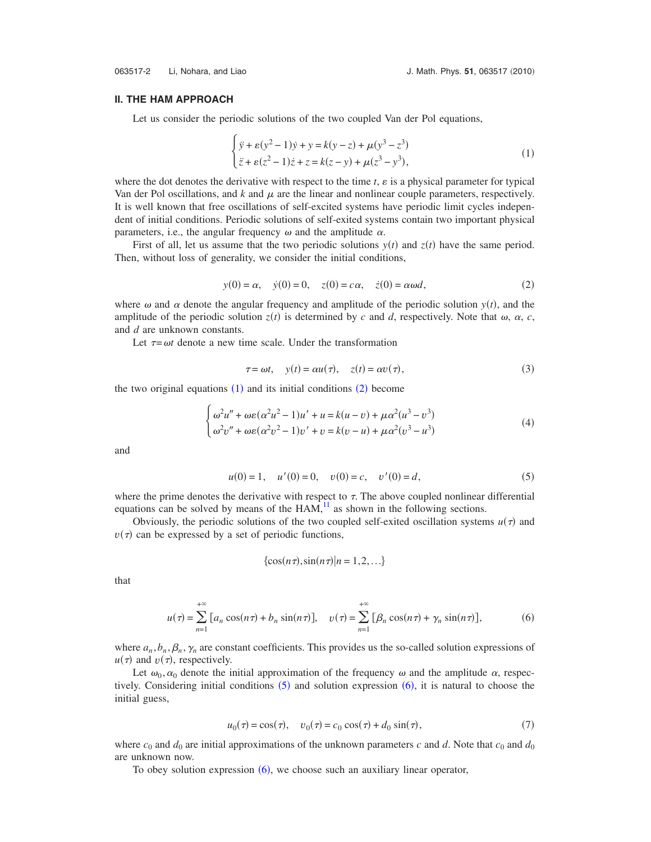## <span id="page-1-0"></span>**II. THE HAM APPROACH**

Let us consider the periodic solutions of the two coupled Van der Pol equations,

$$
\begin{cases} \n\ddot{y} + \varepsilon (y^2 - 1) \dot{y} + y = k(y - z) + \mu (y^3 - z^3) \\
\ddot{z} + \varepsilon (z^2 - 1) \dot{z} + z = k(z - y) + \mu (z^3 - y^3), \n\end{cases} \tag{1}
$$

where the dot denotes the derivative with respect to the time  $t$ ,  $\varepsilon$  is a physical parameter for typical Van der Pol oscillations, and  $k$  and  $\mu$  are the linear and nonlinear couple parameters, respectively. It is well known that free oscillations of self-excited systems have periodic limit cycles independent of initial conditions. Periodic solutions of self-exited systems contain two important physical parameters, i.e., the angular frequency  $\omega$  and the amplitude  $\alpha$ .

First of all, let us assume that the two periodic solutions  $y(t)$  and  $z(t)$  have the same period. Then, without loss of generality, we consider the initial conditions,

$$
y(0) = \alpha, \quad \dot{y}(0) = 0, \quad z(0) = c\alpha, \quad \dot{z}(0) = \alpha \omega d,
$$
 (2)

<span id="page-1-1"></span>where  $\omega$  and  $\alpha$  denote the angular frequency and amplitude of the periodic solution  $y(t)$ , and the amplitude of the periodic solution  $z(t)$  is determined by *c* and *d*, respectively. Note that  $\omega$ ,  $\alpha$ , *c*, and *d* are unknown constants.

Let  $\tau = \omega t$  denote a new time scale. Under the transformation

$$
\tau = \omega t, \quad y(t) = \alpha u(\tau), \quad z(t) = \alpha v(\tau), \tag{3}
$$

<span id="page-1-4"></span>the two original equations  $(1)$  $(1)$  $(1)$  and its initial conditions  $(2)$  $(2)$  $(2)$  become

 $\epsilon$ 

$$
\begin{cases}\n\omega^2 u'' + \omega \varepsilon (\alpha^2 u^2 - 1) u' + u = k(u - v) + \mu \alpha^2 (u^3 - v^3) \\
\omega^2 v'' + \omega \varepsilon (\alpha^2 v^2 - 1) v' + v = k(v - u) + \mu \alpha^2 (v^3 - u^3)\n\end{cases}
$$
\n(4)

<span id="page-1-2"></span>and

$$
u(0) = 1, \quad u'(0) = 0, \quad v(0) = c, \quad v'(0) = d,\tag{5}
$$

where the prime denotes the derivative with respect to  $\tau$ . The above coupled nonlinear differential equations can be solved by means of the  $HAM$ , $^{11}$  as shown in the following sections.

Obviously, the periodic solutions of the two coupled self-exited oscillation systems  $u(\tau)$  and  $v(\tau)$  can be expressed by a set of periodic functions,

$$
\{\cos(n\tau), \sin(n\tau)|n=1,2,\ldots\}
$$

<span id="page-1-3"></span>that

$$
u(\tau) = \sum_{n=1}^{+\infty} \left[ a_n \cos(n\tau) + b_n \sin(n\tau) \right], \quad v(\tau) = \sum_{n=1}^{+\infty} \left[ \beta_n \cos(n\tau) + \gamma_n \sin(n\tau) \right],\tag{6}
$$

where  $a_n$ ,  $b_n$ ,  $\beta_n$ ,  $\gamma_n$  are constant coefficients. This provides us the so-called solution expressions of  $u(\tau)$  and  $v(\tau)$ , respectively.

Let  $\omega_0, \alpha_0$  denote the initial approximation of the frequency  $\omega$  and the amplitude  $\alpha$ , respectively. Considering initial conditions  $(5)$  $(5)$  $(5)$  and solution expression  $(6)$  $(6)$  $(6)$ , it is natural to choose the initial guess,

$$
u_0(\tau) = \cos(\tau), \quad v_0(\tau) = c_0 \cos(\tau) + d_0 \sin(\tau), \tag{7}
$$

where  $c_0$  and  $d_0$  are initial approximations of the unknown parameters *c* and *d*. Note that  $c_0$  and  $d_0$ are unknown now.

To obey solution expression ([6](#page-1-3)), we choose such an auxiliary linear operator,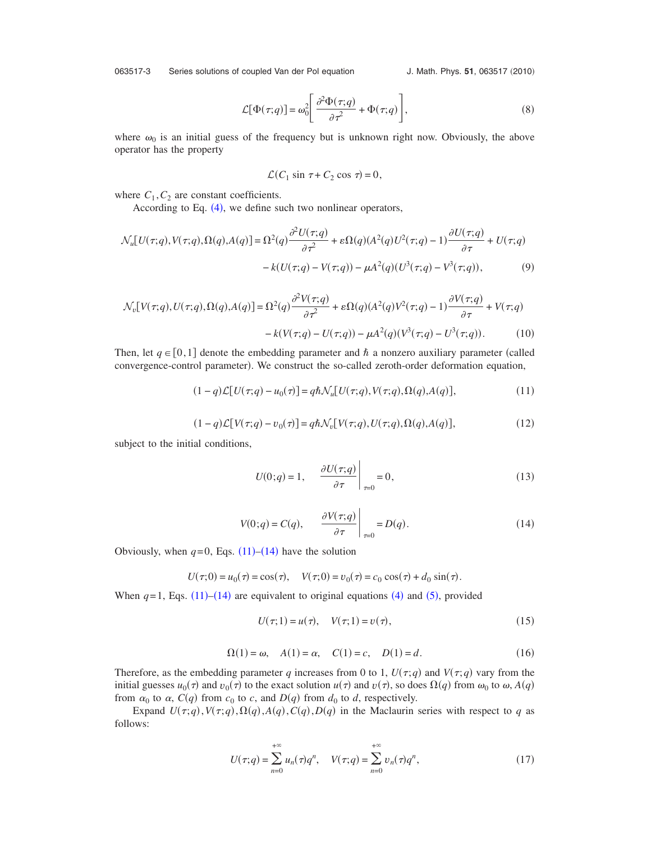<span id="page-2-4"></span>063517-3 Series solutions of coupled Van der Pol equation

J. Math. Phys. 51, 063517 (2010)

$$
\mathcal{L}[\Phi(\tau;q)] = \omega_0^2 \left[ \frac{\partial^2 \Phi(\tau;q)}{\partial \tau^2} + \Phi(\tau;q) \right],\tag{8}
$$

where  $\omega_0$  is an initial guess of the frequency but is unknown right now. Obviously, the above operator has the property

$$
\mathcal{L}(C_1 \sin \tau + C_2 \cos \tau) = 0,
$$

where  $C_1$ ,  $C_2$  are constant coefficients.

According to Eq.  $(4)$  $(4)$  $(4)$ , we define such two nonlinear operators,

$$
\mathcal{N}_{u}[U(\tau;q),V(\tau;q),\Omega(q),A(q)] = \Omega^{2}(q)\frac{\partial^{2}U(\tau;q)}{\partial\tau^{2}} + \varepsilon\Omega(q)(A^{2}(q)U^{2}(\tau;q)-1)\frac{\partial U(\tau;q)}{\partial\tau} + U(\tau;q) - k(U(\tau;q)-V(\tau;q)) - \mu A^{2}(q)(U^{3}(\tau;q)-V^{3}(\tau;q)), \tag{9}
$$

$$
\mathcal{N}_v[V(\tau;q),U(\tau;q),\Omega(q),A(q)] = \Omega^2(q)\frac{\partial^2 V(\tau;q)}{\partial \tau^2} + \varepsilon \Omega(q)(A^2(q)V^2(\tau;q) - 1)\frac{\partial V(\tau;q)}{\partial \tau} + V(\tau;q) -k(V(\tau;q) - U(\tau;q)) - \mu A^2(q)(V^3(\tau;q) - U^3(\tau;q)).
$$
(10)

<span id="page-2-0"></span>Then, let  $q \in [0,1]$  denote the embedding parameter and  $\hbar$  a nonzero auxiliary parameter (called convergence-control parameter). We construct the so-called zeroth-order deformation equation,

$$
(1-q)\mathcal{L}[U(\tau;q) - u_0(\tau)] = q\hbar \mathcal{N}_u[U(\tau;q),V(\tau;q),\Omega(q),A(q)],\tag{11}
$$

$$
(1-q)\mathcal{L}[V(\tau;q)-v_0(\tau)] = q\hbar \mathcal{N}_v[V(\tau;q),U(\tau;q),\Omega(q),A(q)],\tag{12}
$$

subject to the initial conditions,

$$
U(0;q) = 1, \quad \left. \frac{\partial U(\tau;q)}{\partial \tau} \right|_{\tau=0} = 0, \tag{13}
$$

$$
V(0;q) = C(q), \qquad \frac{\partial V(\tau;q)}{\partial \tau}\bigg|_{\tau=0} = D(q). \tag{14}
$$

<span id="page-2-1"></span>Obviously, when  $q=0$ , Eqs.  $(11)$  $(11)$  $(11)$ – $(14)$  $(14)$  $(14)$  have the solution

$$
U(\tau;0) = u_0(\tau) = \cos(\tau), \quad V(\tau;0) = v_0(\tau) = c_0 \cos(\tau) + d_0 \sin(\tau).
$$

<span id="page-2-2"></span>When  $q=1$ , Eqs. ([11](#page-2-0))–([14](#page-2-1)) are equivalent to original equations ([4](#page-1-4)) and ([5](#page-1-2)), provided

$$
U(\tau; 1) = u(\tau), \quad V(\tau; 1) = v(\tau), \tag{15}
$$

$$
\Omega(1) = \omega, \quad A(1) = \alpha, \quad C(1) = c, \quad D(1) = d. \tag{16}
$$

<span id="page-2-3"></span>Therefore, as the embedding parameter *q* increases from 0 to 1,  $U(\tau;q)$  and  $V(\tau;q)$  vary from the initial guesses  $u_0(\tau)$  and  $v_0(\tau)$  to the exact solution  $u(\tau)$  and  $v(\tau)$ , so does  $\Omega(q)$  from  $\omega_0$  to  $\omega$ ,  $A(q)$ from  $\alpha_0$  to  $\alpha$ ,  $C(q)$  from  $c_0$  to  $c$ , and  $D(q)$  from  $d_0$  to  $d$ , respectively.

Expand  $U(\tau; q)$ ,  $V(\tau; q)$ ,  $\Omega(q)$ ,  $A(q)$ ,  $C(q)$ ,  $D(q)$  in the Maclaurin series with respect to *q* as follows:

$$
U(\tau;q) = \sum_{n=0}^{+\infty} u_n(\tau) q^n, \quad V(\tau;q) = \sum_{n=0}^{+\infty} v_n(\tau) q^n,
$$
 (17)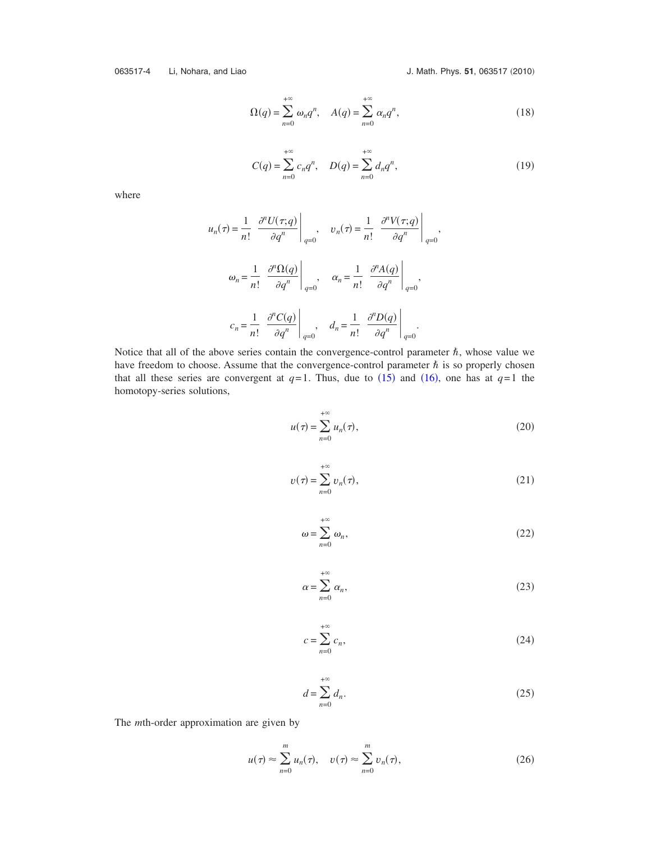063517-4 Li, Nohara, and Liao **J. Math. Phys. 51, 063517** (2010)

$$
\Omega(q) = \sum_{n=0}^{+\infty} \omega_n q^n, \quad A(q) = \sum_{n=0}^{+\infty} \alpha_n q^n,
$$
\n(18)

$$
C(q) = \sum_{n=0}^{+\infty} c_n q^n, \quad D(q) = \sum_{n=0}^{+\infty} d_n q^n,
$$
 (19)

where

$$
u_n(\tau) = \frac{1}{n!} \left. \frac{\partial^n U(\tau; q)}{\partial q^n} \right|_{q=0}, \quad v_n(\tau) = \frac{1}{n!} \left. \frac{\partial^n V(\tau; q)}{\partial q^n} \right|_{q=0},
$$
  

$$
\omega_n = \frac{1}{n!} \left. \frac{\partial^n \Omega(q)}{\partial q^n} \right|_{q=0}, \quad \alpha_n = \frac{1}{n!} \left. \frac{\partial^n A(q)}{\partial q^n} \right|_{q=0},
$$
  

$$
c_n = \frac{1}{n!} \left. \frac{\partial^n C(q)}{\partial q^n} \right|_{q=0}, \quad d_n = \frac{1}{n!} \left. \frac{\partial^n D(q)}{\partial q^n} \right|_{q=0}.
$$

Notice that all of the above series contain the convergence-control parameter  $\hbar$ , whose value we have freedom to choose. Assume that the convergence-control parameter  $\hbar$  is so properly chosen that all these series are convergent at  $q=1$ . Thus, due to ([15](#page-2-2)) and ([16](#page-2-3)), one has at  $q=1$  the homotopy-series solutions,

$$
u(\tau) = \sum_{n=0}^{+\infty} u_n(\tau),
$$
\n(20)

$$
v(\tau) = \sum_{n=0}^{+\infty} v_n(\tau),
$$
\n(21)

$$
\omega = \sum_{n=0}^{+\infty} \omega_n,\tag{22}
$$

$$
\alpha = \sum_{n=0}^{+\infty} \alpha_n,\tag{23}
$$

$$
c = \sum_{n=0}^{+\infty} c_n,\tag{24}
$$

$$
d = \sum_{n=0}^{+\infty} d_n.
$$
 (25)

The *m*th-order approximation are given by

$$
u(\tau) \approx \sum_{n=0}^{m} u_n(\tau), \quad v(\tau) \approx \sum_{n=0}^{m} v_n(\tau), \tag{26}
$$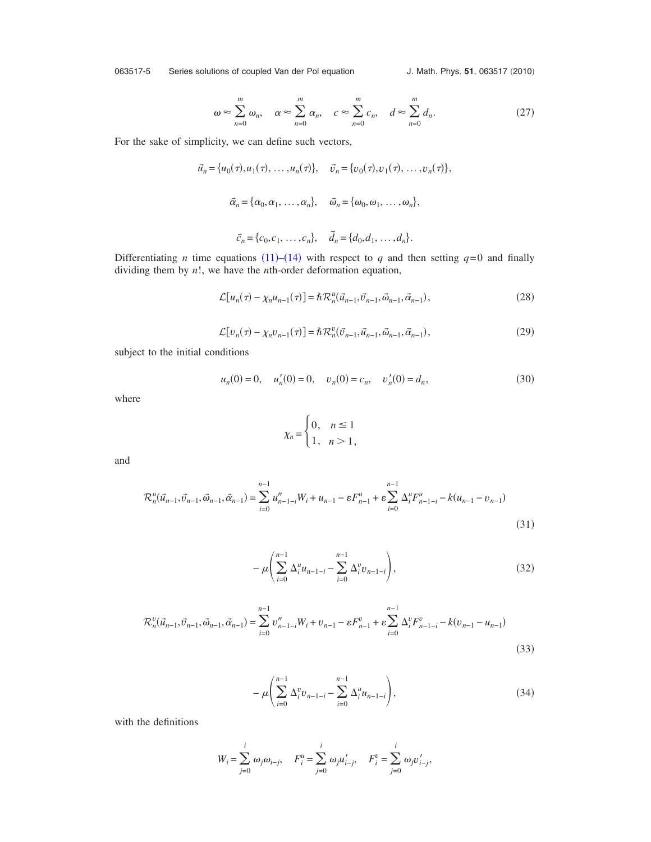063517-5 Series solutions of coupled Van der Pol equation

J. Math. Phys. 51, 063517 (2010)

$$
\omega \approx \sum_{n=0}^{m} \omega_n, \quad \alpha \approx \sum_{n=0}^{m} \alpha_n, \quad c \approx \sum_{n=0}^{m} c_n, \quad d \approx \sum_{n=0}^{m} d_n. \tag{27}
$$

For the sake of simplicity, we can define such vectors,

$$
\vec{u}_n = \{u_0(\tau), u_1(\tau), \dots, u_n(\tau)\}, \quad \vec{v}_n = \{v_0(\tau), v_1(\tau), \dots, v_n(\tau)\},
$$
  

$$
\vec{\alpha}_n = \{\alpha_0, \alpha_1, \dots, \alpha_n\}, \quad \vec{\omega}_n = \{\omega_0, \omega_1, \dots, \omega_n\},
$$
  

$$
\vec{c}_n = \{c_0, c_1, \dots, c_n\}, \quad \vec{d}_n = \{d_0, d_1, \dots, d_n\}.
$$

<span id="page-4-0"></span>Differentiating *n* time equations ([11](#page-2-0))–([14](#page-2-1)) with respect to *q* and then setting  $q=0$  and finally dividing them by *n*!, we have the *n*th-order deformation equation,

$$
\mathcal{L}[u_n(\tau) - \chi_n u_{n-1}(\tau)] = \hbar \mathcal{R}_n^u(\vec{u}_{n-1}, \vec{v}_{n-1}, \vec{\omega}_{n-1}, \vec{\alpha}_{n-1}),
$$
\n(28)

$$
\mathcal{L}[v_n(\tau) - \chi_n v_{n-1}(\tau)] = \hbar \mathcal{R}_n^v(\vec{v}_{n-1}, \vec{u}_{n-1}, \vec{\omega}_{n-1}, \vec{\alpha}_{n-1}),
$$
\n(29)

subject to the initial conditions

$$
u_n(0) = 0, \quad u'_n(0) = 0, \quad v_n(0) = c_n, \quad v'_n(0) = d_n,
$$
\n(30)

<span id="page-4-1"></span>where

$$
\chi_n = \begin{cases} 0, & n \le 1 \\ 1, & n > 1 \end{cases}
$$

and

$$
\mathcal{R}_n^u(\vec{u}_{n-1}, \vec{v}_{n-1}, \vec{\omega}_{n-1}, \vec{\alpha}_{n-1}) = \sum_{i=0}^{n-1} u_{n-1-i}^v W_i + u_{n-1} - \varepsilon F_{n-1}^u + \varepsilon \sum_{i=0}^{n-1} \Delta_i^u F_{n-1-i}^u - k(u_{n-1} - v_{n-1})
$$
\n(31)

$$
-\mu \left( \sum_{i=0}^{n-1} \Delta_i^u u_{n-1-i} - \sum_{i=0}^{n-1} \Delta_i^v v_{n-1-i} \right),\tag{32}
$$

$$
\mathcal{R}_n^v(\vec{u}_{n-1}, \vec{v}_{n-1}, \vec{\omega}_{n-1}, \vec{\alpha}_{n-1}) = \sum_{i=0}^{n-1} v_{n-1-i}'' W_i + v_{n-1} - \varepsilon F_{n-1}^v + \varepsilon \sum_{i=0}^{n-1} \Delta_i^v F_{n-1-i}^v - k(v_{n-1} - u_{n-1})
$$
\n(33)

$$
-\mu \left( \sum_{i=0}^{n-1} \Delta_i^v v_{n-1-i} - \sum_{i=0}^{n-1} \Delta_i^u u_{n-1-i} \right),\tag{34}
$$

with the definitions

$$
W_i = \sum_{j=0}^i \omega_j \omega_{i-j}, \quad F_i^u = \sum_{j=0}^i \omega_j u'_{i-j}, \quad F_i^v = \sum_{j=0}^i \omega_j v'_{i-j},
$$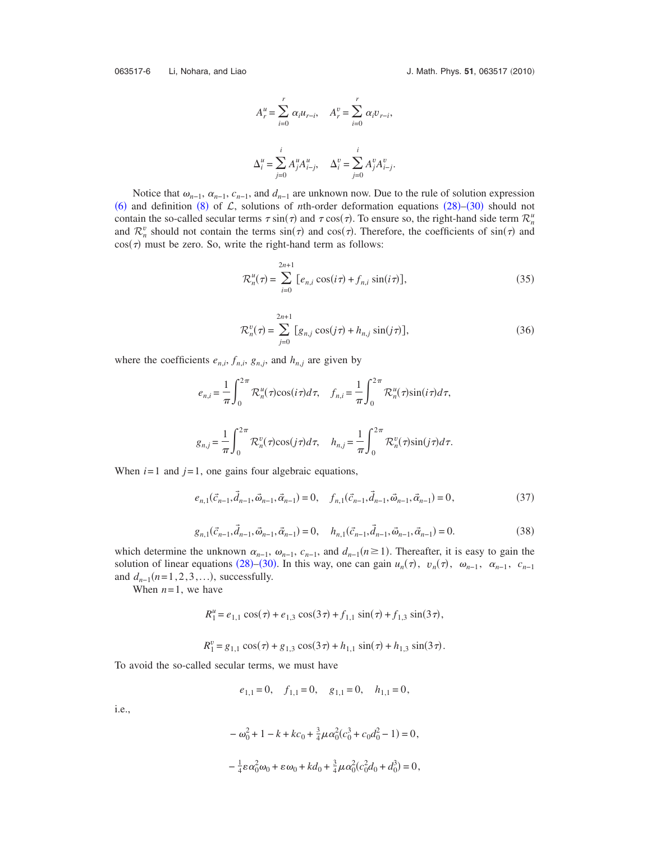063517-6 Li, Nohara, and Liao **J. Math. Phys. 51, 063517** (2010)

$$
A_r^u = \sum_{i=0}^r \alpha_i u_{r-i}, \quad A_r^v = \sum_{i=0}^r \alpha_i v_{r-i},
$$
  

$$
\Delta_i^u = \sum_{j=0}^i A_j^u A_{i-j}^u, \quad \Delta_i^v = \sum_{j=0}^i A_j^v A_{i-j}^v.
$$

Notice that  $\omega_{n-1}$ ,  $\alpha_{n-1}$ ,  $c_{n-1}$ , and  $d_{n-1}$  are unknown now. Due to the rule of solution expression ([6](#page-1-3)) and definition ([8](#page-2-4)) of  $\mathcal{L}$ , solutions of *n*th-order deformation equations ([28](#page-4-0))–([30](#page-4-1)) should not contain the so-called secular terms  $\tau \sin(\tau)$  and  $\tau \cos(\tau)$ . To ensure so, the right-hand side term  $\mathcal{R}_n^u$ and  $\mathcal{R}_n^v$  should not contain the terms  $sin(\tau)$  and  $cos(\tau)$ . Therefore, the coefficients of  $sin(\tau)$  and  $cos(\tau)$  must be zero. So, write the right-hand term as follows:

$$
\mathcal{R}_n^u(\tau) = \sum_{i=0}^{2n+1} \left[ e_{n,i} \cos(i\tau) + f_{n,i} \sin(i\tau) \right],\tag{35}
$$

$$
\mathcal{R}_n^v(\tau) = \sum_{j=0}^{2n+1} \left[ g_{n,j} \cos(j\tau) + h_{n,j} \sin(j\tau) \right],\tag{36}
$$

where the coefficients  $e_{n,i}$ ,  $f_{n,i}$ ,  $g_{n,j}$ , and  $h_{n,j}$  are given by

$$
e_{n,i} = \frac{1}{\pi} \int_0^{2\pi} \mathcal{R}_n^u(\tau) \cos(i\tau) d\tau, \quad f_{n,i} = \frac{1}{\pi} \int_0^{2\pi} \mathcal{R}_n^u(\tau) \sin(i\tau) d\tau,
$$
  

$$
g_{n,j} = \frac{1}{\pi} \int_0^{2\pi} \mathcal{R}_n^v(\tau) \cos(j\tau) d\tau, \quad h_{n,j} = \frac{1}{\pi} \int_0^{2\pi} \mathcal{R}_n^v(\tau) \sin(j\tau) d\tau.
$$

When  $i=1$  and  $j=1$ , one gains four algebraic equations,

$$
e_{n,1}(\vec{c}_{n-1},\vec{d}_{n-1},\vec{\omega}_{n-1},\vec{\alpha}_{n-1}) = 0, \quad f_{n,1}(\vec{c}_{n-1},\vec{d}_{n-1},\vec{\omega}_{n-1},\vec{\alpha}_{n-1}) = 0,
$$
\n(37)

$$
g_{n,1}(\vec{c}_{n-1}, \vec{d}_{n-1}, \vec{\omega}_{n-1}, \vec{\alpha}_{n-1}) = 0, \quad h_{n,1}(\vec{c}_{n-1}, \vec{d}_{n-1}, \vec{\omega}_{n-1}, \vec{\alpha}_{n-1}) = 0.
$$
 (38)

which determine the unknown  $\alpha_{n-1}$ ,  $\omega_{n-1}$ ,  $c_{n-1}$ , and  $d_{n-1}(n \ge 1)$ . Thereafter, it is easy to gain the solution of linear equations ([28](#page-4-0))–([30](#page-4-1)). In this way, one can gain  $u_n(\tau)$ ,  $v_n(\tau)$ ,  $\omega_{n-1}$ ,  $\alpha_{n-1}$ ,  $c_{n-1}$ and  $d_{n-1}(n=1,2,3,...)$ , successfully.

When  $n=1$ , we have

$$
R_1^u = e_{1,1} \cos(\tau) + e_{1,3} \cos(3\tau) + f_{1,1} \sin(\tau) + f_{1,3} \sin(3\tau),
$$
  

$$
R_1^v = g_{1,1} \cos(\tau) + g_{1,3} \cos(3\tau) + h_{1,1} \sin(\tau) + h_{1,3} \sin(3\tau).
$$

To avoid the so-called secular terms, we must have

$$
e_{1,1} = 0
$$
,  $f_{1,1} = 0$ ,  $g_{1,1} = 0$ ,  $h_{1,1} = 0$ ,

i.e.,

$$
-\omega_0^2 + 1 - k + kc_0 + \frac{3}{4}\mu\alpha_0^2(c_0^3 + c_0d_0^2 - 1) = 0,
$$
  

$$
-\frac{1}{4}\varepsilon\alpha_0^2\omega_0 + \varepsilon\omega_0 + kd_0 + \frac{3}{4}\mu\alpha_0^2(c_0^2d_0 + d_0^3) = 0,
$$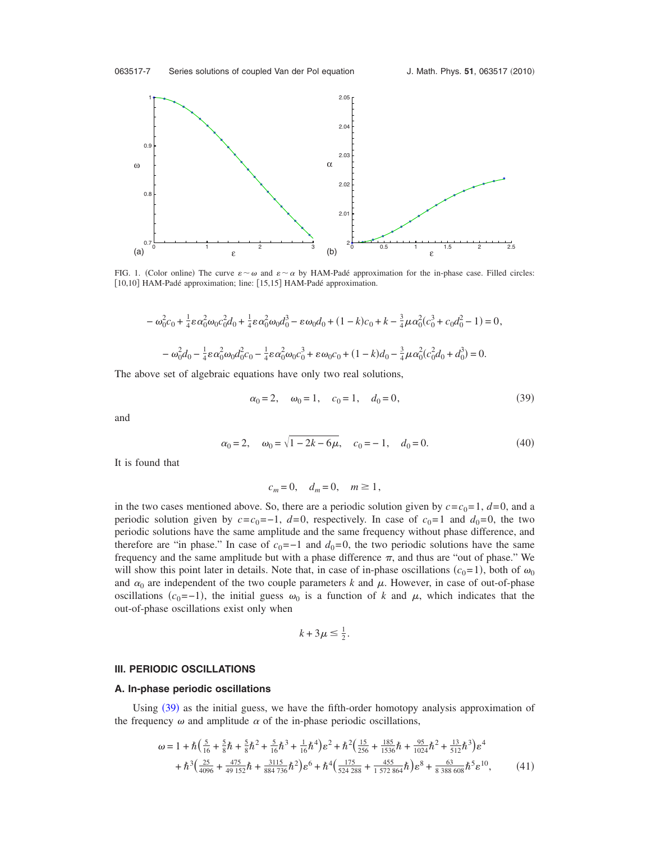<span id="page-6-1"></span>

FIG. 1. (Color online) The curve  $\varepsilon \sim \omega$  and  $\varepsilon \sim \alpha$  by HAM-Padé approximation for the in-phase case. Filled circles: [10,10] HAM-Padé approximation; line: [15,15] HAM-Padé approximation.

$$
- \omega_0^2 c_0 + \frac{1}{4} \varepsilon \alpha_0^2 \omega_0 c_0^2 d_0 + \frac{1}{4} \varepsilon \alpha_0^2 \omega_0 d_0^3 - \varepsilon \omega_0 d_0 + (1 - k)c_0 + k - \frac{3}{4} \mu \alpha_0^2 (c_0^3 + c_0 d_0^2 - 1) = 0,
$$
  

$$
- \omega_0^2 d_0 - \frac{1}{4} \varepsilon \alpha_0^2 \omega_0 d_0^2 c_0 - \frac{1}{4} \varepsilon \alpha_0^2 \omega_0 c_0^3 + \varepsilon \omega_0 c_0 + (1 - k)d_0 - \frac{3}{4} \mu \alpha_0^2 (c_0^2 d_0 + d_0^3) = 0.
$$

<span id="page-6-0"></span>The above set of algebraic equations have only two real solutions,

$$
\alpha_0 = 2, \quad \omega_0 = 1, \quad c_0 = 1, \quad d_0 = 0,\tag{39}
$$

<span id="page-6-2"></span>and

$$
\alpha_0 = 2, \quad \omega_0 = \sqrt{1 - 2k - 6\mu}, \quad c_0 = -1, \quad d_0 = 0.
$$
\n(40)

It is found that

$$
c_m = 0, \quad d_m = 0, \quad m \ge 1,
$$

in the two cases mentioned above. So, there are a periodic solution given by  $c = c_0 = 1$ ,  $d = 0$ , and a periodic solution given by  $c = c_0 = -1$ ,  $d = 0$ , respectively. In case of  $c_0 = 1$  and  $d_0 = 0$ , the two periodic solutions have the same amplitude and the same frequency without phase difference, and therefore are "in phase." In case of  $c_0 = -1$  and  $d_0 = 0$ , the two periodic solutions have the same frequency and the same amplitude but with a phase difference  $\pi$ , and thus are "out of phase." We will show this point later in details. Note that, in case of in-phase oscillations  $(c_0=1)$ , both of  $\omega_0$ and  $\alpha_0$  are independent of the two couple parameters *k* and  $\mu$ . However, in case of out-of-phase oscillations  $(c_0 = -1)$ , the initial guess  $\omega_0$  is a function of *k* and  $\mu$ , which indicates that the out-of-phase oscillations exist only when

$$
k+3\mu\leq \frac{1}{2}.
$$

#### **III. PERIODIC OSCILLATIONS**

#### **A. In-phase periodic oscillations**

Using ([39](#page-6-0)) as the initial guess, we have the fifth-order homotopy analysis approximation of the frequency  $\omega$  and amplitude  $\alpha$  of the in-phase periodic oscillations,

$$
\omega = 1 + \hbar \left( \frac{5}{16} + \frac{5}{8} \hbar + \frac{5}{8} \hbar^2 + \frac{5}{16} \hbar^3 + \frac{1}{16} \hbar^4 \right) \varepsilon^2 + \hbar^2 \left( \frac{15}{256} + \frac{185}{1536} \hbar + \frac{95}{1024} \hbar^2 + \frac{13}{512} \hbar^3 \right) \varepsilon^4
$$
  
+ 
$$
\hbar^3 \left( \frac{25}{4096} + \frac{475}{49152} \hbar + \frac{3115}{884736} \hbar^2 \right) \varepsilon^6 + \hbar^4 \left( \frac{175}{524288} + \frac{455}{1572864} \hbar \right) \varepsilon^8 + \frac{63}{8388608} \hbar^5 \varepsilon^{10}, \tag{41}
$$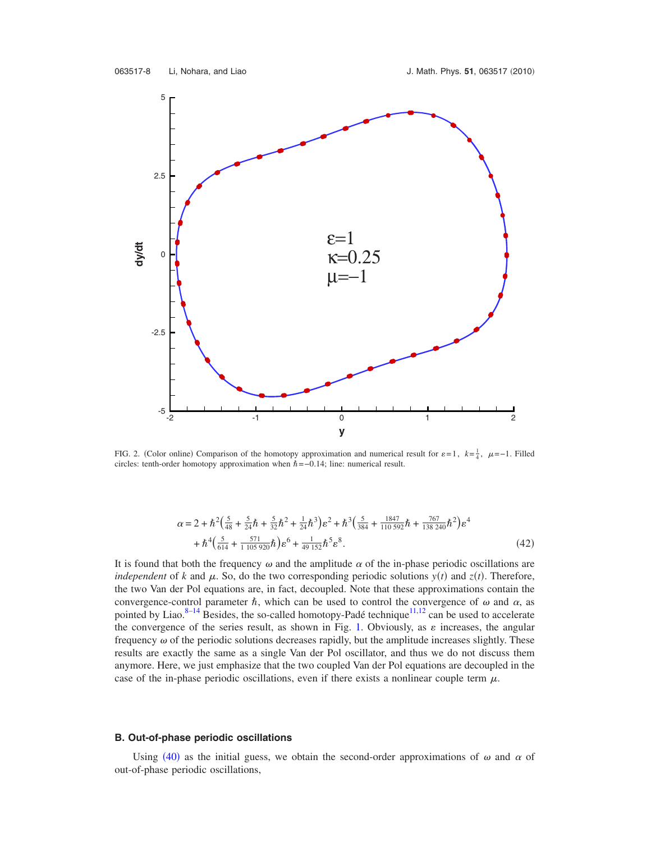<span id="page-7-0"></span>

FIG. 2. (Color online) Comparison of the homotopy approximation and numerical result for  $\varepsilon = 1$ ,  $k = \frac{1}{4}$ ,  $\mu = -1$ . Filled circles: tenth-order homotopy approximation when  $\hat{h}$  =−0.14; line: numerical result.

$$
\alpha = 2 + \hbar^2 \left( \frac{5}{48} + \frac{5}{24} \hbar + \frac{5}{32} \hbar^2 + \frac{1}{24} \hbar^3 \right) \varepsilon^2 + \hbar^3 \left( \frac{5}{384} + \frac{1847}{110592} \hbar + \frac{767}{138240} \hbar^2 \right) \varepsilon^4 + \hbar^4 \left( \frac{5}{614} + \frac{571}{1105920} \hbar \right) \varepsilon^6 + \frac{1}{49152} \hbar^5 \varepsilon^8.
$$
\n(42)

It is found that both the frequency  $\omega$  and the amplitude  $\alpha$  of the in-phase periodic oscillations are *independent* of *k* and  $\mu$ . So, do the two corresponding periodic solutions  $y(t)$  and  $z(t)$ . Therefore, the two Van der Pol equations are, in fact, decoupled. Note that these approximations contain the convergence-control parameter  $\hbar$ , which can be used to control the convergence of  $\omega$  and  $\alpha$ , as pointed by Liao.<sup>8[–14](#page-10-5)</sup> Besides, the so-called homotopy-Padé technique<sup>11,[12](#page-10-11)</sup> can be used to accelerate the convergence of the series result, as shown in Fig. [1.](#page-6-1) Obviously, as  $\varepsilon$  increases, the angular frequency  $\omega$  of the periodic solutions decreases rapidly, but the amplitude increases slightly. These results are exactly the same as a single Van der Pol oscillator, and thus we do not discuss them anymore. Here, we just emphasize that the two coupled Van der Pol equations are decoupled in the case of the in-phase periodic oscillations, even if there exists a nonlinear couple term  $\mu$ .

#### **B. Out-of-phase periodic oscillations**

Using ([40](#page-6-2)) as the initial guess, we obtain the second-order approximations of  $\omega$  and  $\alpha$  of out-of-phase periodic oscillations,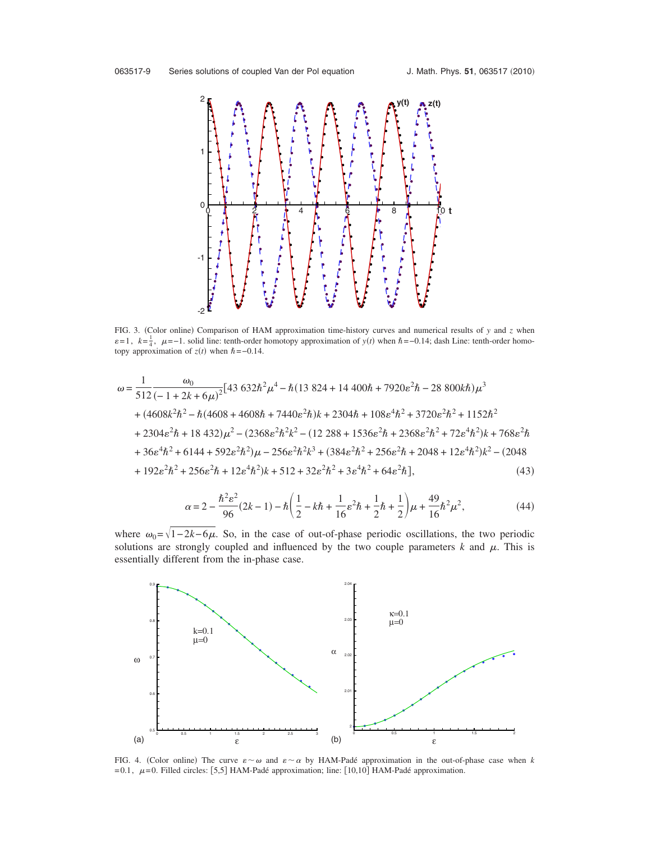<span id="page-8-0"></span>

FIG. 3. (Color online) Comparison of HAM approximation time-history curves and numerical results of *y* and *z* when  $\varepsilon = 1$ ,  $k = \frac{1}{4}$ ,  $\mu = -1$ . solid line: tenth-order homotopy approximation of *y*(*t*) when  $\hbar = -0.14$ ; dash Line: tenth-order homotopy approximation of  $z(t)$  when  $\hbar = -0.14$ .

$$
\omega = \frac{1}{512} \frac{\omega_0}{(-1+2k+6\mu)^2} [43\ 632\hbar^2\mu^4 - \hbar(13\ 824 + 14\ 400\hbar + 7920\epsilon^2\hbar - 28\ 800k\hbar)\mu^3
$$
  
+  $(4608k^2\hbar^2 - \hbar(4608 + 4608\hbar + 7440\epsilon^2\hbar)k + 2304\hbar + 108\epsilon^4\hbar^2 + 3720\epsilon^2\hbar^2 + 1152\hbar^2$   
+  $2304\epsilon^2\hbar + 18\ 432)\mu^2 - (2368\epsilon^2\hbar^2k^2 - (12\ 288 + 1536\epsilon^2\hbar + 2368\epsilon^2\hbar^2 + 72\epsilon^4\hbar^2)k + 768\epsilon^2\hbar$   
+  $36\epsilon^4\hbar^2 + 6144 + 592\epsilon^2\hbar^2)\mu - 256\epsilon^2\hbar^2k^3 + (384\epsilon^2\hbar^2 + 256\epsilon^2\hbar + 2048 + 12\epsilon^4\hbar^2)k^2 - (2048$   
+  $192\epsilon^2\hbar^2 + 256\epsilon^2\hbar + 12\epsilon^4\hbar^2)k + 512 + 32\epsilon^2\hbar^2 + 3\epsilon^4\hbar^2 + 64\epsilon^2\hbar],$  (43)

$$
\alpha = 2 - \frac{\hbar^2 \varepsilon^2}{96} (2k - 1) - \hbar \left( \frac{1}{2} - k\hbar + \frac{1}{16} \varepsilon^2 \hbar + \frac{1}{2} \hbar + \frac{1}{2} \right) \mu + \frac{49}{16} \hbar^2 \mu^2,
$$
 (44)

where  $\omega_0 = \sqrt{1-2k-6\mu}$ . So, in the case of out-of-phase periodic oscillations, the two periodic solutions are strongly coupled and influenced by the two couple parameters  $k$  and  $\mu$ . This is essentially different from the in-phase case.

<span id="page-8-1"></span>

FIG. 4. (Color online) The curve  $\varepsilon \sim \omega$  and  $\varepsilon \sim \alpha$  by HAM-Padé approximation in the out-of-phase case when *k*  $= 0.1, \mu = 0$ . Filled circles: [5,5] HAM-Padé approximation; line: [10,10] HAM-Padé approximation.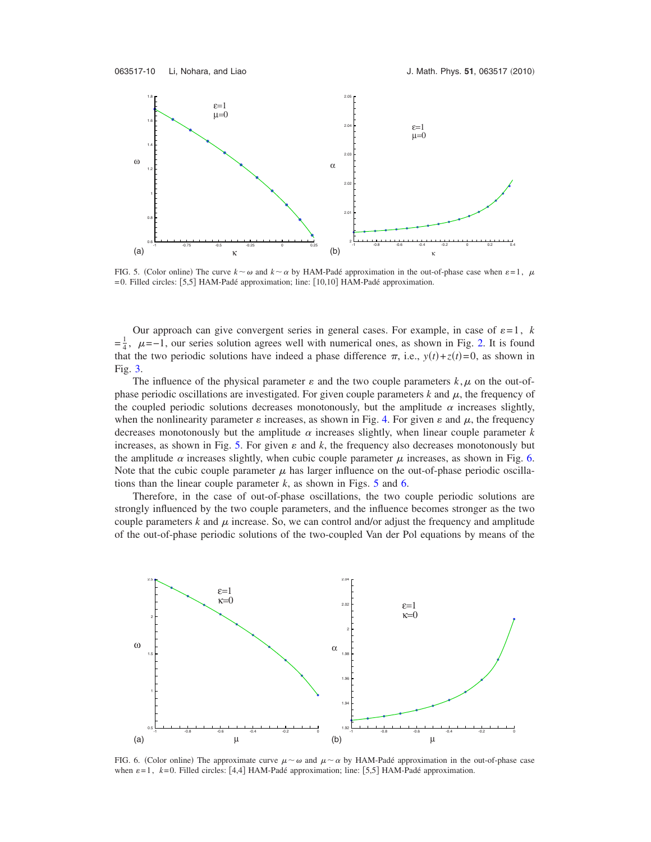<span id="page-9-0"></span>

FIG. 5. (Color online) The curve  $k \sim \omega$  and  $k \sim \alpha$  by HAM-Padé approximation in the out-of-phase case when  $\varepsilon = 1$ ,  $\mu$ =0. Filled circles: 5,5 HAM-Padé approximation; line: 10,10 HAM-Padé approximation.

Our approach can give convergent series in general cases. For example, in case of  $\varepsilon = 1$ , *k*  $=\frac{1}{4}$  $\frac{1}{4}$ ,  $\mu$ =-1, our series solution agrees well with numerical ones, as shown in Fig. [2.](#page-7-0) It is found that the two periodic solutions have indeed a phase difference  $\pi$ , i.e.,  $y(t) + z(t) = 0$ , as shown in Fig. [3.](#page-8-0)

The influence of the physical parameter  $\varepsilon$  and the two couple parameters  $k, \mu$  on the out-ofphase periodic oscillations are investigated. For given couple parameters  $k$  and  $\mu$ , the frequency of the coupled periodic solutions decreases monotonously, but the amplitude  $\alpha$  increases slightly, when the nonlinearity parameter  $\varepsilon$  increases, as shown in Fig. [4.](#page-8-1) For given  $\varepsilon$  and  $\mu$ , the frequency decreases monotonously but the amplitude  $\alpha$  increases slightly, when linear couple parameter  $k$ increases, as shown in Fig. [5.](#page-9-0) For given  $\varepsilon$  and  $k$ , the frequency also decreases monotonously but the amplitude  $\alpha$  increases slightly, when cubic couple parameter  $\mu$  increases, as shown in Fig. [6.](#page-9-1) Note that the cubic couple parameter  $\mu$  has larger influence on the out-of-phase periodic oscillations than the linear couple parameter  $k$ , as shown in Figs. [5](#page-9-0) and [6.](#page-9-1)

Therefore, in the case of out-of-phase oscillations, the two couple periodic solutions are strongly influenced by the two couple parameters, and the influence becomes stronger as the two couple parameters  $k$  and  $\mu$  increase. So, we can control and/or adjust the frequency and amplitude of the out-of-phase periodic solutions of the two-coupled Van der Pol equations by means of the

<span id="page-9-1"></span>

FIG. 6. (Color online) The approximate curve  $\mu \sim \omega$  and  $\mu \sim \alpha$  by HAM-Padé approximation in the out-of-phase case when  $\varepsilon=1$ ,  $k=0$ . Filled circles: [4,4] HAM-Padé approximation; line: [5,5] HAM-Padé approximation.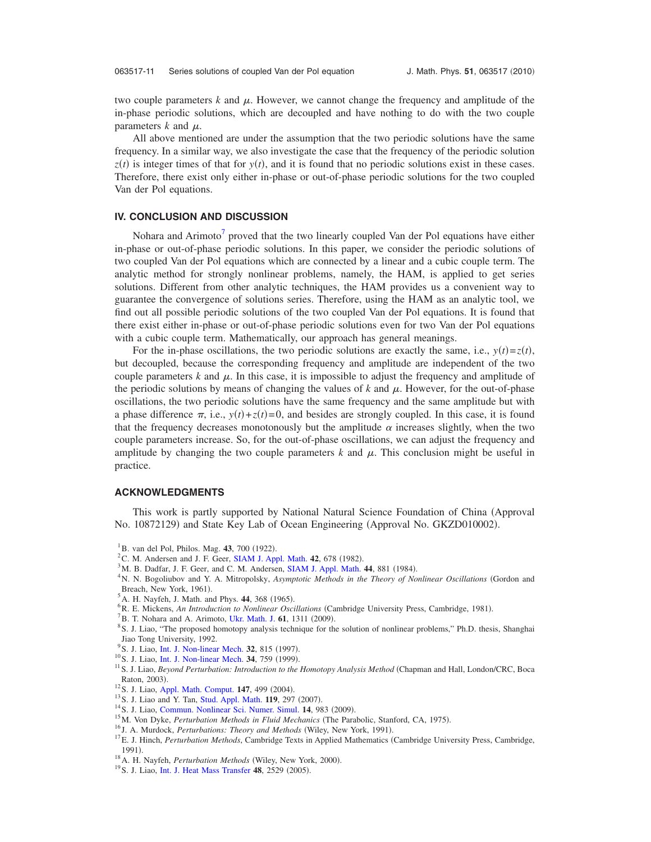two couple parameters  $k$  and  $\mu$ . However, we cannot change the frequency and amplitude of the in-phase periodic solutions, which are decoupled and have nothing to do with the two couple parameters  $k$  and  $\mu$ .

All above mentioned are under the assumption that the two periodic solutions have the same frequency. In a similar way, we also investigate the case that the frequency of the periodic solution  $z(t)$  is integer times of that for  $y(t)$ , and it is found that no periodic solutions exist in these cases. Therefore, there exist only either in-phase or out-of-phase periodic solutions for the two coupled Van der Pol equations.

# **IV. CONCLUSION AND DISCUSSION**

Nohara and Arimoto<sup>7</sup> proved that the two linearly coupled Van der Pol equations have either in-phase or out-of-phase periodic solutions. In this paper, we consider the periodic solutions of two coupled Van der Pol equations which are connected by a linear and a cubic couple term. The analytic method for strongly nonlinear problems, namely, the HAM, is applied to get series solutions. Different from other analytic techniques, the HAM provides us a convenient way to guarantee the convergence of solutions series. Therefore, using the HAM as an analytic tool, we find out all possible periodic solutions of the two coupled Van der Pol equations. It is found that there exist either in-phase or out-of-phase periodic solutions even for two Van der Pol equations with a cubic couple term. Mathematically, our approach has general meanings.

For the in-phase oscillations, the two periodic solutions are exactly the same, i.e.,  $y(t) = z(t)$ , but decoupled, because the corresponding frequency and amplitude are independent of the two couple parameters  $k$  and  $\mu$ . In this case, it is impossible to adjust the frequency and amplitude of the periodic solutions by means of changing the values of  $k$  and  $\mu$ . However, for the out-of-phase oscillations, the two periodic solutions have the same frequency and the same amplitude but with a phase difference  $\pi$ , i.e.,  $y(t) + z(t) = 0$ , and besides are strongly coupled. In this case, it is found that the frequency decreases monotonously but the amplitude  $\alpha$  increases slightly, when the two couple parameters increase. So, for the out-of-phase oscillations, we can adjust the frequency and amplitude by changing the two couple parameters  $k$  and  $\mu$ . This conclusion might be useful in practice.

## **ACKNOWLEDGMENTS**

This work is partly supported by National Natural Science Foundation of China (Approval No. 10872129) and State Key Lab of Ocean Engineering (Approval No. GKZD010002).

<sup>4</sup> N. N. Bogoliubov and Y. A. Mitropolsky, *Asymptotic Methods in the Theory of Nonlinear Oscillations* (Gordon and Breach, New York, 1961).

<span id="page-10-2"></span><sup>6</sup> R. E. Mickens, *An Introduction to Nonlinear Oscillations* (Cambridge University Press, Cambridge, 1981).

<span id="page-10-3"></span> $B^{\prime}$ B. T. Nohara and A. Arimoto, [Ukr. Math. J.](http://dx.doi.org/10.1007/s11253-010-0278-x) **61**, 1311 (2009).

- <span id="page-10-4"></span>S. J. Liao, "The proposed homotopy analysis technique for the solution of nonlinear problems," Ph.D. thesis, Shanghai Jiao Tong University, 1992.
- <sup>9</sup> S. J. Liao, [Int. J. Non-linear Mech.](http://dx.doi.org/10.1016/S0020-7462(96)00101-1) 32, 815 (1997)
- <sup>10</sup> S. J. Liao, [Int. J. Non-linear Mech.](http://dx.doi.org/10.1016/S0020-7462(98)00056-0) **34**, 759 (1999).
- <span id="page-10-10"></span><sup>11</sup> S. J. Liao, *Beyond Perturbation: Introduction to the Homotopy Analysis Method* (Chapman and Hall, London/CRC, Boca Raton, 2003).
- <span id="page-10-11"></span><sup>12</sup>S. J. Liao, [Appl. Math. Comput.](http://dx.doi.org/10.1016/S0096-3003(02)00790-7) **147**, 499 (2004).
- <span id="page-10-8"></span><sup>13</sup> S. J. Liao and Y. Tan, [Stud. Appl. Math.](http://dx.doi.org/10.1111/j.1467-9590.2007.00387.x) **119**, 297 (2007).
- <span id="page-10-5"></span><sup>14</sup> S. J. Liao, [Commun. Nonlinear Sci. Numer. Simul.](http://dx.doi.org/10.1016/j.cnsns.2008.04.013) **14**, 983 (2009).
- <sup>14</sup> S. J. Liao, Commun. Nonlinear Sci. Numer. Simul. **14**, 983 (2009).<br><sup>15</sup>M. Von Dyke, *Perturbation Methods in Fluid Mechanics* (The Parabolic, Stanford, CA, 1975) <sup>13</sup> M. Von Dyke, *Perturbation Methods in Fluid Mechanics* (The Parabolic, Stanford, CA, 1975).<br><sup>16</sup> J. A. Murdock, *Perturbations: Theory and Methods* (Wiley, New York, 1991).
- 
- <span id="page-10-6"></span><sup>16</sup> J. A. Murdock, *Perturbations: Theory and Methods* (Wiley, New York, 1991).<br><sup>17</sup>E. J. Hinch, *Perturbation Methods*, Cambridge Texts in Applied Mathematics (Cambridge University Press, Cambridge,  $1991.$ 1991).<br><sup>18</sup> A. H. Nayfeh, *Perturbation Methods* (Wiley, New York, 2000)
- <span id="page-10-7"></span><sup>18</sup> A. H. Nayfeh, *Perturbation Methods* (Wiley, New York, 2000).<br><sup>19</sup> S. J. Liao, [Int. J. Heat Mass Transfer](http://dx.doi.org/10.1016/j.ijheatmasstransfer.2005.01.005) **48**, 2529 (2005).
- <span id="page-10-9"></span><sup>19</sup> S. J. Liao, Int. J. Heat Mass Transfer 48, 2529 (2005).

<span id="page-10-0"></span><sup>&</sup>lt;sup>1</sup>B. van del Pol, Philos. Mag. **43**, 700 (1922).

<span id="page-10-1"></span><sup>&</sup>lt;sup>2</sup>C. M. Andersen and J. F. Geer, [SIAM J. Appl. Math.](http://dx.doi.org/10.1137/0142047) **42**, 678 (1982).

<sup>&</sup>lt;sup>3</sup>M. B. Dadfar, J. F. Geer, and C. M. Andersen, [SIAM J. Appl. Math.](http://dx.doi.org/10.1137/0144063) **44**, 881 (1984).

 ${}^{5}$ A. H. Nayfeh, J. Math. and Phys. **44**, 368 (1965).